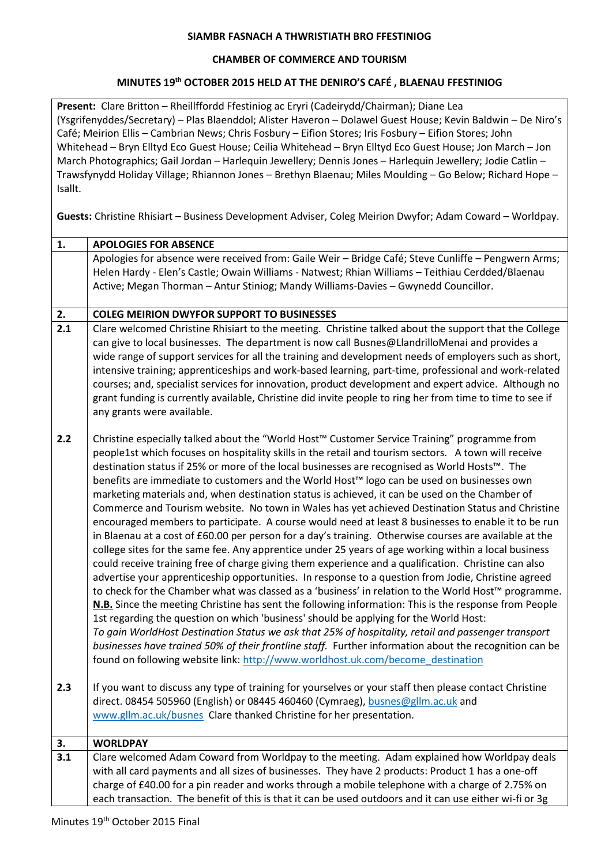## **SIAMBR FASNACH A THWRISTIATH BRO FFESTINIOG**

## **CHAMBER OF COMMERCE AND TOURISM**

## **MINUTES 19th OCTOBER 2015 HELD AT THE DENIRO'S CAFÉ , BLAENAU FFESTINIOG**

**Present:** Clare Britton – Rheillffordd Ffestiniog ac Eryri (Cadeirydd/Chairman); Diane Lea (Ysgrifenyddes/Secretary) – Plas Blaenddol; Alister Haveron – Dolawel Guest House; Kevin Baldwin – De Niro's Café; Meirion Ellis – Cambrian News; Chris Fosbury – Eifion Stores; Iris Fosbury – Eifion Stores; John Whitehead – Bryn Elltyd Eco Guest House; Ceilia Whitehead – Bryn Elltyd Eco Guest House; Jon March – Jon March Photographics; Gail Jordan – Harlequin Jewellery; Dennis Jones – Harlequin Jewellery; Jodie Catlin – Trawsfynydd Holiday Village; Rhiannon Jones – Brethyn Blaenau; Miles Moulding – Go Below; Richard Hope – Isallt.

**Guests:** Christine Rhisiart – Business Development Adviser, Coleg Meirion Dwyfor; Adam Coward – Worldpay.

| $\mathbf{1}$ . | <b>APOLOGIES FOR ABSENCE</b>                                                                                                                                                                                                                                                                                                                                                                                                                                                                                                                                                                                                                                                                                                                                                                                                                                                                                                                                                                                                                                                                                                                                                                                                                                                                                                                                                                                                                                                                                                                                                                                                                                                                                                                                   |
|----------------|----------------------------------------------------------------------------------------------------------------------------------------------------------------------------------------------------------------------------------------------------------------------------------------------------------------------------------------------------------------------------------------------------------------------------------------------------------------------------------------------------------------------------------------------------------------------------------------------------------------------------------------------------------------------------------------------------------------------------------------------------------------------------------------------------------------------------------------------------------------------------------------------------------------------------------------------------------------------------------------------------------------------------------------------------------------------------------------------------------------------------------------------------------------------------------------------------------------------------------------------------------------------------------------------------------------------------------------------------------------------------------------------------------------------------------------------------------------------------------------------------------------------------------------------------------------------------------------------------------------------------------------------------------------------------------------------------------------------------------------------------------------|
|                | Apologies for absence were received from: Gaile Weir - Bridge Café; Steve Cunliffe - Pengwern Arms;<br>Helen Hardy - Elen's Castle; Owain Williams - Natwest; Rhian Williams - Teithiau Cerdded/Blaenau<br>Active; Megan Thorman - Antur Stiniog; Mandy Williams-Davies - Gwynedd Councillor.                                                                                                                                                                                                                                                                                                                                                                                                                                                                                                                                                                                                                                                                                                                                                                                                                                                                                                                                                                                                                                                                                                                                                                                                                                                                                                                                                                                                                                                                  |
| 2.             | <b>COLEG MEIRION DWYFOR SUPPORT TO BUSINESSES</b>                                                                                                                                                                                                                                                                                                                                                                                                                                                                                                                                                                                                                                                                                                                                                                                                                                                                                                                                                                                                                                                                                                                                                                                                                                                                                                                                                                                                                                                                                                                                                                                                                                                                                                              |
| 2.1            | Clare welcomed Christine Rhisiart to the meeting. Christine talked about the support that the College<br>can give to local businesses. The department is now call Busnes@LlandrilloMenai and provides a<br>wide range of support services for all the training and development needs of employers such as short,<br>intensive training; apprenticeships and work-based learning, part-time, professional and work-related<br>courses; and, specialist services for innovation, product development and expert advice. Although no<br>grant funding is currently available, Christine did invite people to ring her from time to time to see if<br>any grants were available.                                                                                                                                                                                                                                                                                                                                                                                                                                                                                                                                                                                                                                                                                                                                                                                                                                                                                                                                                                                                                                                                                   |
| 2.2            | Christine especially talked about the "World Host™ Customer Service Training" programme from<br>people1st which focuses on hospitality skills in the retail and tourism sectors. A town will receive<br>destination status if 25% or more of the local businesses are recognised as World Hosts™. The<br>benefits are immediate to customers and the World Host™ logo can be used on businesses own<br>marketing materials and, when destination status is achieved, it can be used on the Chamber of<br>Commerce and Tourism website. No town in Wales has yet achieved Destination Status and Christine<br>encouraged members to participate. A course would need at least 8 businesses to enable it to be run<br>in Blaenau at a cost of £60.00 per person for a day's training. Otherwise courses are available at the<br>college sites for the same fee. Any apprentice under 25 years of age working within a local business<br>could receive training free of charge giving them experience and a qualification. Christine can also<br>advertise your apprenticeship opportunities. In response to a question from Jodie, Christine agreed<br>to check for the Chamber what was classed as a 'business' in relation to the World Host™ programme.<br>N.B. Since the meeting Christine has sent the following information: This is the response from People<br>1st regarding the question on which 'business' should be applying for the World Host:<br>To gain WorldHost Destination Status we ask that 25% of hospitality, retail and passenger transport<br>businesses have trained 50% of their frontline staff. Further information about the recognition can be<br>found on following website link: http://www.worldhost.uk.com/become_destination |
| 2.3            | If you want to discuss any type of training for yourselves or your staff then please contact Christine<br>direct. 08454 505960 (English) or 08445 460460 (Cymraeg), busnes@gllm.ac.uk and<br>www.gllm.ac.uk/busnes Clare thanked Christine for her presentation.                                                                                                                                                                                                                                                                                                                                                                                                                                                                                                                                                                                                                                                                                                                                                                                                                                                                                                                                                                                                                                                                                                                                                                                                                                                                                                                                                                                                                                                                                               |
| 3.             | <b>WORLDPAY</b>                                                                                                                                                                                                                                                                                                                                                                                                                                                                                                                                                                                                                                                                                                                                                                                                                                                                                                                                                                                                                                                                                                                                                                                                                                                                                                                                                                                                                                                                                                                                                                                                                                                                                                                                                |
| 3.1            | Clare welcomed Adam Coward from Worldpay to the meeting. Adam explained how Worldpay deals<br>with all card payments and all sizes of businesses. They have 2 products: Product 1 has a one-off<br>charge of £40.00 for a pin reader and works through a mobile telephone with a charge of 2.75% on<br>each transaction. The benefit of this is that it can be used outdoors and it can use either wi-fi or 3g                                                                                                                                                                                                                                                                                                                                                                                                                                                                                                                                                                                                                                                                                                                                                                                                                                                                                                                                                                                                                                                                                                                                                                                                                                                                                                                                                 |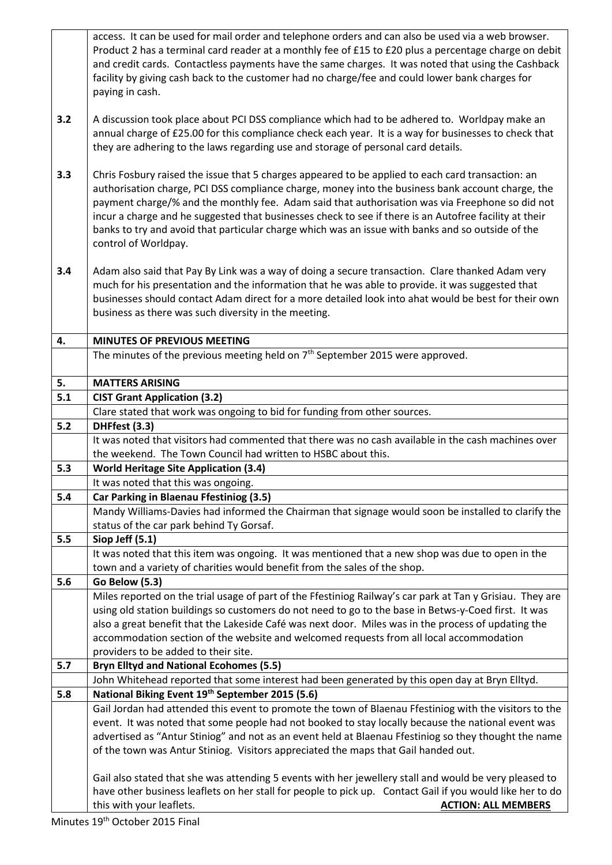|     | access. It can be used for mail order and telephone orders and can also be used via a web browser.<br>Product 2 has a terminal card reader at a monthly fee of £15 to £20 plus a percentage charge on debit<br>and credit cards. Contactless payments have the same charges. It was noted that using the Cashback<br>facility by giving cash back to the customer had no charge/fee and could lower bank charges for<br>paying in cash.                                                                                                          |
|-----|--------------------------------------------------------------------------------------------------------------------------------------------------------------------------------------------------------------------------------------------------------------------------------------------------------------------------------------------------------------------------------------------------------------------------------------------------------------------------------------------------------------------------------------------------|
| 3.2 | A discussion took place about PCI DSS compliance which had to be adhered to. Worldpay make an<br>annual charge of £25.00 for this compliance check each year. It is a way for businesses to check that<br>they are adhering to the laws regarding use and storage of personal card details.                                                                                                                                                                                                                                                      |
| 3.3 | Chris Fosbury raised the issue that 5 charges appeared to be applied to each card transaction: an<br>authorisation charge, PCI DSS compliance charge, money into the business bank account charge, the<br>payment charge/% and the monthly fee. Adam said that authorisation was via Freephone so did not<br>incur a charge and he suggested that businesses check to see if there is an Autofree facility at their<br>banks to try and avoid that particular charge which was an issue with banks and so outside of the<br>control of Worldpay. |
| 3.4 | Adam also said that Pay By Link was a way of doing a secure transaction. Clare thanked Adam very<br>much for his presentation and the information that he was able to provide. it was suggested that<br>businesses should contact Adam direct for a more detailed look into ahat would be best for their own<br>business as there was such diversity in the meeting.                                                                                                                                                                             |
| 4.  | <b>MINUTES OF PREVIOUS MEETING</b>                                                                                                                                                                                                                                                                                                                                                                                                                                                                                                               |
|     | The minutes of the previous meeting held on 7 <sup>th</sup> September 2015 were approved.                                                                                                                                                                                                                                                                                                                                                                                                                                                        |
| 5.  | <b>MATTERS ARISING</b>                                                                                                                                                                                                                                                                                                                                                                                                                                                                                                                           |
| 5.1 | <b>CIST Grant Application (3.2)</b>                                                                                                                                                                                                                                                                                                                                                                                                                                                                                                              |
|     | Clare stated that work was ongoing to bid for funding from other sources.                                                                                                                                                                                                                                                                                                                                                                                                                                                                        |
| 5.2 | DHFfest (3.3)                                                                                                                                                                                                                                                                                                                                                                                                                                                                                                                                    |
|     | It was noted that visitors had commented that there was no cash available in the cash machines over                                                                                                                                                                                                                                                                                                                                                                                                                                              |
|     | the weekend. The Town Council had written to HSBC about this.                                                                                                                                                                                                                                                                                                                                                                                                                                                                                    |
| 5.3 | <b>World Heritage Site Application (3.4)</b><br>It was noted that this was ongoing.                                                                                                                                                                                                                                                                                                                                                                                                                                                              |
| 5.4 | Car Parking in Blaenau Ffestiniog (3.5)                                                                                                                                                                                                                                                                                                                                                                                                                                                                                                          |
|     | Mandy Williams-Davies had informed the Chairman that signage would soon be installed to clarify the                                                                                                                                                                                                                                                                                                                                                                                                                                              |
|     | status of the car park behind Ty Gorsaf.                                                                                                                                                                                                                                                                                                                                                                                                                                                                                                         |
| 5.5 | Siop Jeff (5.1)                                                                                                                                                                                                                                                                                                                                                                                                                                                                                                                                  |
|     | It was noted that this item was ongoing. It was mentioned that a new shop was due to open in the                                                                                                                                                                                                                                                                                                                                                                                                                                                 |
|     | town and a variety of charities would benefit from the sales of the shop.                                                                                                                                                                                                                                                                                                                                                                                                                                                                        |
| 5.6 | <b>Go Below (5.3)</b>                                                                                                                                                                                                                                                                                                                                                                                                                                                                                                                            |
|     | Miles reported on the trial usage of part of the Ffestiniog Railway's car park at Tan y Grisiau. They are                                                                                                                                                                                                                                                                                                                                                                                                                                        |
|     | using old station buildings so customers do not need to go to the base in Betws-y-Coed first. It was                                                                                                                                                                                                                                                                                                                                                                                                                                             |
|     | also a great benefit that the Lakeside Café was next door. Miles was in the process of updating the<br>accommodation section of the website and welcomed requests from all local accommodation                                                                                                                                                                                                                                                                                                                                                   |
|     | providers to be added to their site.                                                                                                                                                                                                                                                                                                                                                                                                                                                                                                             |
| 5.7 | <b>Bryn Elltyd and National Ecohomes (5.5)</b>                                                                                                                                                                                                                                                                                                                                                                                                                                                                                                   |
|     | John Whitehead reported that some interest had been generated by this open day at Bryn Elltyd.                                                                                                                                                                                                                                                                                                                                                                                                                                                   |
| 5.8 | National Biking Event 19th September 2015 (5.6)                                                                                                                                                                                                                                                                                                                                                                                                                                                                                                  |
|     | Gail Jordan had attended this event to promote the town of Blaenau Ffestiniog with the visitors to the                                                                                                                                                                                                                                                                                                                                                                                                                                           |
|     | event. It was noted that some people had not booked to stay locally because the national event was                                                                                                                                                                                                                                                                                                                                                                                                                                               |
|     | advertised as "Antur Stiniog" and not as an event held at Blaenau Ffestiniog so they thought the name                                                                                                                                                                                                                                                                                                                                                                                                                                            |
|     | of the town was Antur Stiniog. Visitors appreciated the maps that Gail handed out.                                                                                                                                                                                                                                                                                                                                                                                                                                                               |
|     |                                                                                                                                                                                                                                                                                                                                                                                                                                                                                                                                                  |
|     | Gail also stated that she was attending 5 events with her jewellery stall and would be very pleased to<br>have other business leaflets on her stall for people to pick up. Contact Gail if you would like her to do<br>this with your leaflets.                                                                                                                                                                                                                                                                                                  |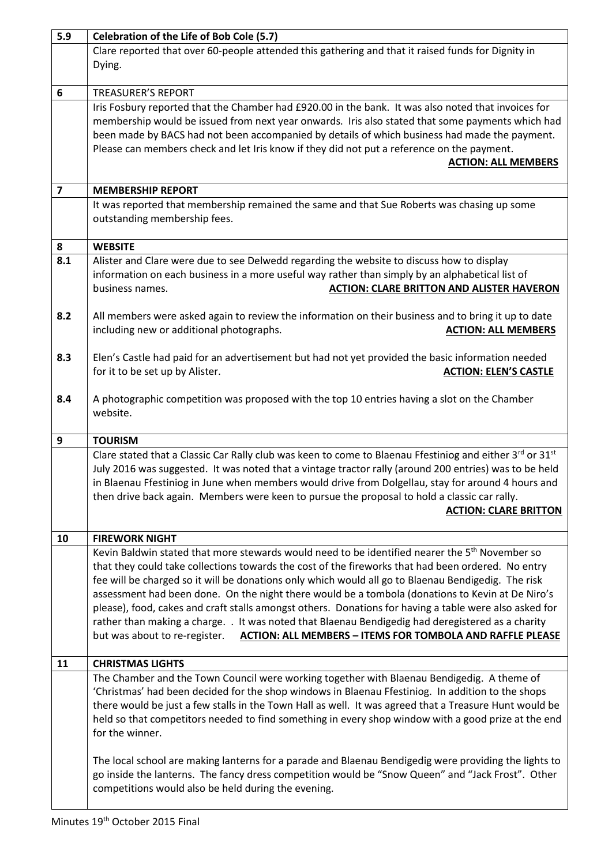| 5.9                     | Celebration of the Life of Bob Cole (5.7)                                                                                                                |
|-------------------------|----------------------------------------------------------------------------------------------------------------------------------------------------------|
|                         | Clare reported that over 60-people attended this gathering and that it raised funds for Dignity in                                                       |
|                         | Dying.                                                                                                                                                   |
|                         |                                                                                                                                                          |
| 6                       | <b>TREASURER'S REPORT</b>                                                                                                                                |
|                         | Iris Fosbury reported that the Chamber had £920.00 in the bank. It was also noted that invoices for                                                      |
|                         | membership would be issued from next year onwards. Iris also stated that some payments which had                                                         |
|                         | been made by BACS had not been accompanied by details of which business had made the payment.                                                            |
|                         | Please can members check and let Iris know if they did not put a reference on the payment.                                                               |
|                         | <b>ACTION: ALL MEMBERS</b>                                                                                                                               |
|                         |                                                                                                                                                          |
| $\overline{\mathbf{z}}$ | <b>MEMBERSHIP REPORT</b>                                                                                                                                 |
|                         | It was reported that membership remained the same and that Sue Roberts was chasing up some                                                               |
|                         | outstanding membership fees.                                                                                                                             |
|                         |                                                                                                                                                          |
| 8                       | <b>WEBSITE</b>                                                                                                                                           |
| 8.1                     | Alister and Clare were due to see Delwedd regarding the website to discuss how to display                                                                |
|                         | information on each business in a more useful way rather than simply by an alphabetical list of                                                          |
|                         | <b>ACTION: CLARE BRITTON AND ALISTER HAVERON</b><br>business names.                                                                                      |
|                         |                                                                                                                                                          |
| 8.2                     | All members were asked again to review the information on their business and to bring it up to date                                                      |
|                         | including new or additional photographs.<br><b>ACTION: ALL MEMBERS</b>                                                                                   |
|                         |                                                                                                                                                          |
| 8.3                     | Elen's Castle had paid for an advertisement but had not yet provided the basic information needed                                                        |
|                         | for it to be set up by Alister.<br><b>ACTION: ELEN'S CASTLE</b>                                                                                          |
|                         |                                                                                                                                                          |
| 8.4                     | A photographic competition was proposed with the top 10 entries having a slot on the Chamber                                                             |
|                         | website.                                                                                                                                                 |
|                         |                                                                                                                                                          |
| 9                       | <b>TOURISM</b>                                                                                                                                           |
|                         |                                                                                                                                                          |
|                         |                                                                                                                                                          |
|                         | Clare stated that a Classic Car Rally club was keen to come to Blaenau Ffestiniog and either 3rd or 31st                                                 |
|                         | July 2016 was suggested. It was noted that a vintage tractor rally (around 200 entries) was to be held                                                   |
|                         | in Blaenau Ffestiniog in June when members would drive from Dolgellau, stay for around 4 hours and                                                       |
|                         | then drive back again. Members were keen to pursue the proposal to hold a classic car rally.                                                             |
|                         | <b>ACTION: CLARE BRITTON</b>                                                                                                                             |
|                         | <b>FIREWORK NIGHT</b>                                                                                                                                    |
| 10                      |                                                                                                                                                          |
|                         | Kevin Baldwin stated that more stewards would need to be identified nearer the 5 <sup>th</sup> November so                                               |
|                         | that they could take collections towards the cost of the fireworks that had been ordered. No entry                                                       |
|                         | fee will be charged so it will be donations only which would all go to Blaenau Bendigedig. The risk                                                      |
|                         | assessment had been done. On the night there would be a tombola (donations to Kevin at De Niro's                                                         |
|                         | please), food, cakes and craft stalls amongst others. Donations for having a table were also asked for                                                   |
|                         | rather than making a charge. . It was noted that Blaenau Bendigedig had deregistered as a charity                                                        |
|                         | <b>ACTION: ALL MEMBERS - ITEMS FOR TOMBOLA AND RAFFLE PLEASE</b><br>but was about to re-register.                                                        |
| 11                      | <b>CHRISTMAS LIGHTS</b>                                                                                                                                  |
|                         |                                                                                                                                                          |
|                         | The Chamber and the Town Council were working together with Blaenau Bendigedig. A theme of                                                               |
|                         | 'Christmas' had been decided for the shop windows in Blaenau Ffestiniog. In addition to the shops                                                        |
|                         | there would be just a few stalls in the Town Hall as well. It was agreed that a Treasure Hunt would be                                                   |
|                         | held so that competitors needed to find something in every shop window with a good prize at the end                                                      |
|                         | for the winner.                                                                                                                                          |
|                         |                                                                                                                                                          |
|                         | The local school are making lanterns for a parade and Blaenau Bendigedig were providing the lights to                                                    |
|                         | go inside the lanterns. The fancy dress competition would be "Snow Queen" and "Jack Frost". Other<br>competitions would also be held during the evening. |